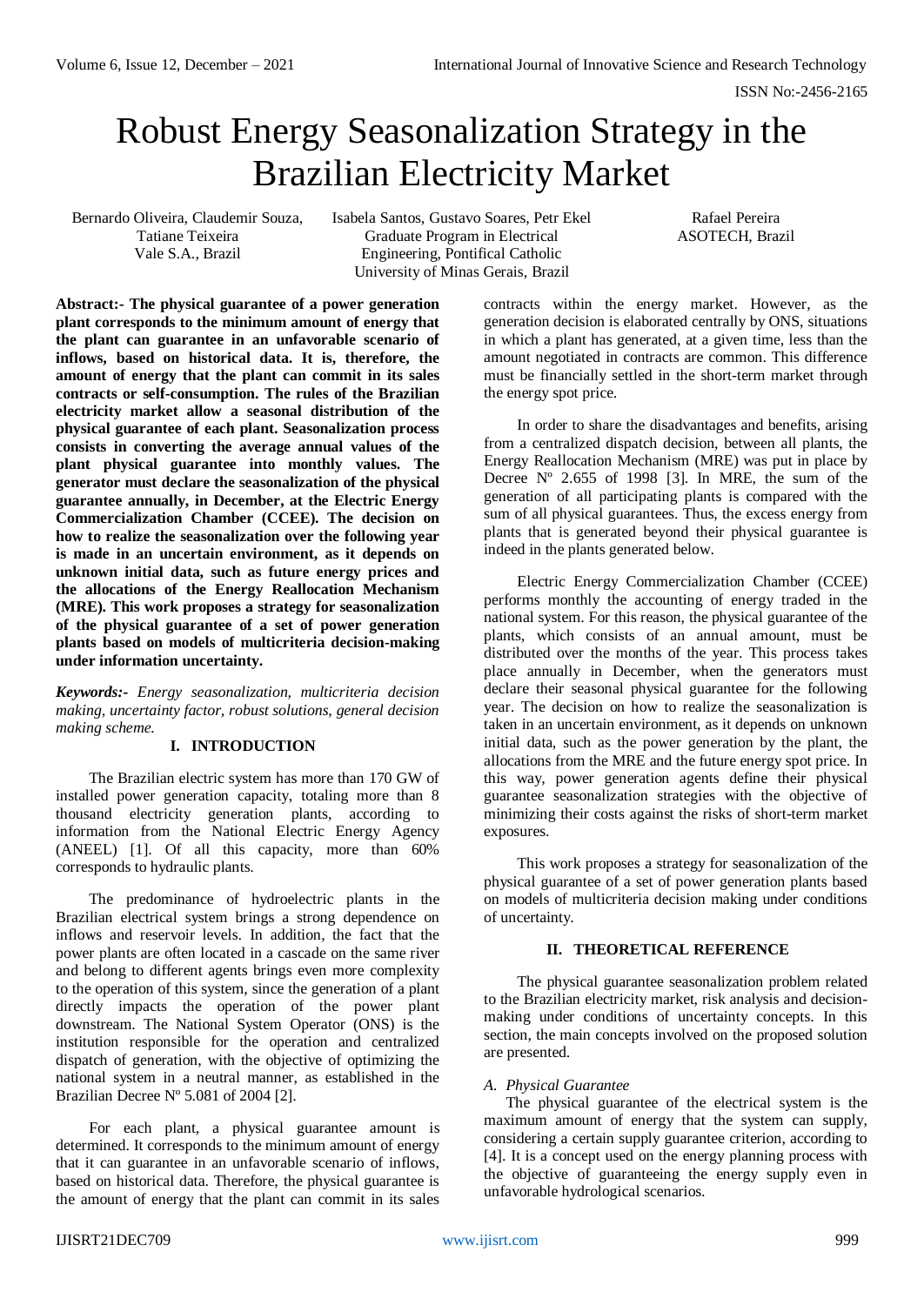# Robust Energy Seasonalization Strategy in the Brazilian Electricity Market

Bernardo Oliveira, Claudemir Souza, Tatiane Teixeira Vale S.A., Brazil

Isabela Santos, Gustavo Soares, Petr Ekel Graduate Program in Electrical Engineering, Pontifical Catholic University of Minas Gerais, Brazil

Rafael Pereira ASOTECH, Brazil

**Abstract:- The physical guarantee of a power generation plant corresponds to the minimum amount of energy that the plant can guarantee in an unfavorable scenario of inflows, based on historical data. It is, therefore, the amount of energy that the plant can commit in its sales contracts or self-consumption. The rules of the Brazilian electricity market allow a seasonal distribution of the physical guarantee of each plant. Seasonalization process consists in converting the average annual values of the plant physical guarantee into monthly values. The generator must declare the seasonalization of the physical guarantee annually, in December, at the Electric Energy Commercialization Chamber (CCEE). The decision on how to realize the seasonalization over the following year is made in an uncertain environment, as it depends on unknown initial data, such as future energy prices and the allocations of the Energy Reallocation Mechanism (MRE). This work proposes a strategy for seasonalization of the physical guarantee of a set of power generation plants based on models of multicriteria decision-making under information uncertainty.**

*Keywords:- Energy seasonalization, multicriteria decision making, uncertainty factor, robust solutions, general decision making scheme.*

# **I. INTRODUCTION**

The Brazilian electric system has more than 170 GW of installed power generation capacity, totaling more than 8 thousand electricity generation plants, according to information from the National Electric Energy Agency (ANEEL) [1]. Of all this capacity, more than 60% corresponds to hydraulic plants.

The predominance of hydroelectric plants in the Brazilian electrical system brings a strong dependence on inflows and reservoir levels. In addition, the fact that the power plants are often located in a cascade on the same river and belong to different agents brings even more complexity to the operation of this system, since the generation of a plant directly impacts the operation of the power plant downstream. The National System Operator (ONS) is the institution responsible for the operation and centralized dispatch of generation, with the objective of optimizing the national system in a neutral manner, as established in the Brazilian Decree N° 5.081 of 2004 [2].

For each plant, a physical guarantee amount is determined. It corresponds to the minimum amount of energy that it can guarantee in an unfavorable scenario of inflows, based on historical data. Therefore, the physical guarantee is the amount of energy that the plant can commit in its sales contracts within the energy market. However, as the generation decision is elaborated centrally by ONS, situations in which a plant has generated, at a given time, less than the amount negotiated in contracts are common. This difference must be financially settled in the short-term market through the energy spot price.

In order to share the disadvantages and benefits, arising from a centralized dispatch decision, between all plants, the Energy Reallocation Mechanism (MRE) was put in place by Decree  $N^{\circ}$  2.655 of 1998 [3]. In MRE, the sum of the generation of all participating plants is compared with the sum of all physical guarantees. Thus, the excess energy from plants that is generated beyond their physical guarantee is indeed in the plants generated below.

Electric Energy Commercialization Chamber (CCEE) performs monthly the accounting of energy traded in the national system. For this reason, the physical guarantee of the plants, which consists of an annual amount, must be distributed over the months of the year. This process takes place annually in December, when the generators must declare their seasonal physical guarantee for the following year. The decision on how to realize the seasonalization is taken in an uncertain environment, as it depends on unknown initial data, such as the power generation by the plant, the allocations from the MRE and the future energy spot price. In this way, power generation agents define their physical guarantee seasonalization strategies with the objective of minimizing their costs against the risks of short-term market exposures.

This work proposes a strategy for seasonalization of the physical guarantee of a set of power generation plants based on models of multicriteria decision making under conditions of uncertainty.

# **II. THEORETICAL REFERENCE**

The physical guarantee seasonalization problem related to the Brazilian electricity market, risk analysis and decisionmaking under conditions of uncertainty concepts. In this section, the main concepts involved on the proposed solution are presented.

# *A. Physical Guarantee*

The physical guarantee of the electrical system is the maximum amount of energy that the system can supply, considering a certain supply guarantee criterion, according to [4]. It is a concept used on the energy planning process with the objective of guaranteeing the energy supply even in unfavorable hydrological scenarios.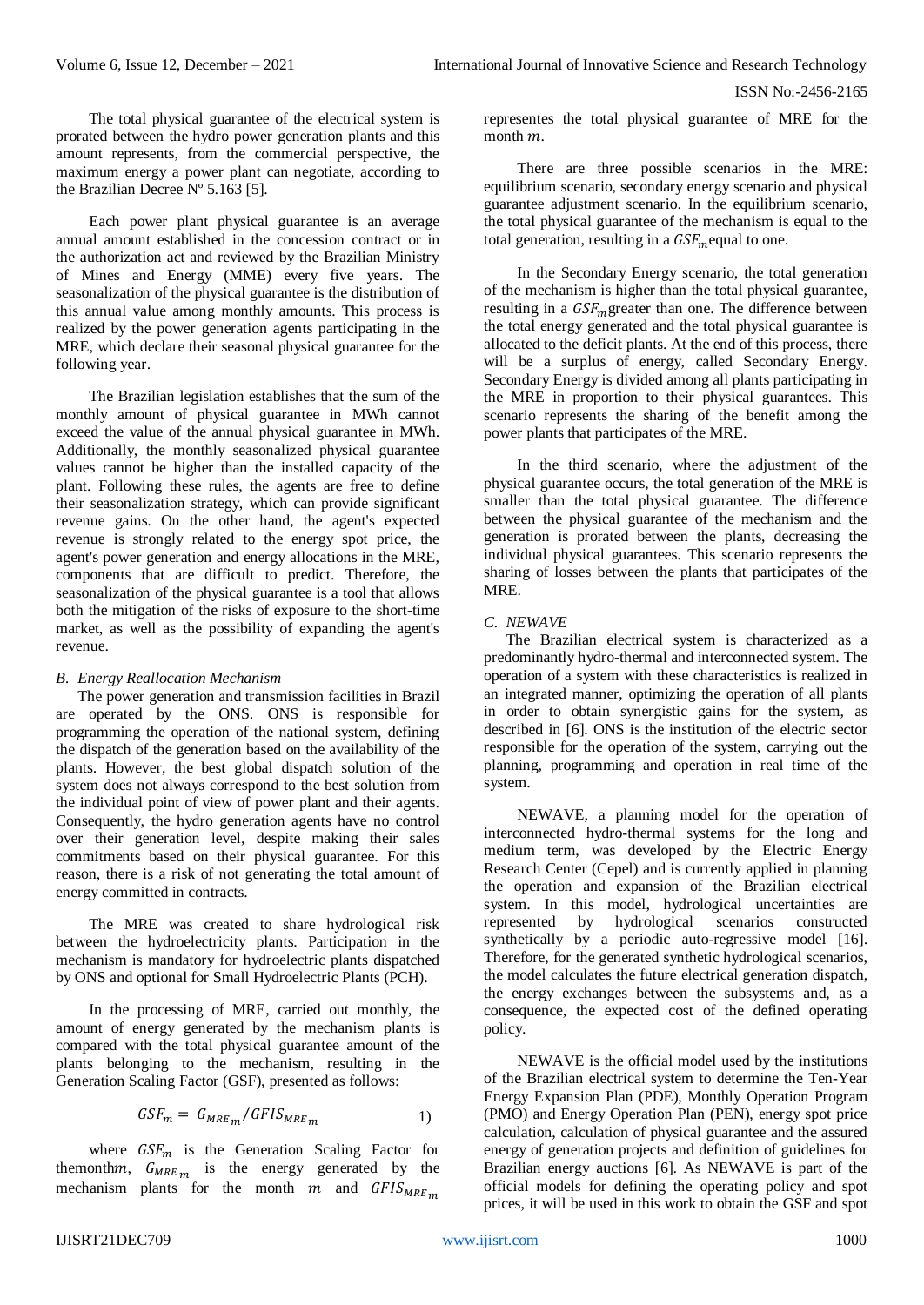The total physical guarantee of the electrical system is prorated between the hydro power generation plants and this amount represents, from the commercial perspective, the maximum energy a power plant can negotiate, according to the Brazilian Decree Nº 5.163 [5].

Each power plant physical guarantee is an average annual amount established in the concession contract or in the authorization act and reviewed by the Brazilian Ministry of Mines and Energy (MME) every five years. The seasonalization of the physical guarantee is the distribution of this annual value among monthly amounts. This process is realized by the power generation agents participating in the MRE, which declare their seasonal physical guarantee for the following year.

The Brazilian legislation establishes that the sum of the monthly amount of physical guarantee in MWh cannot exceed the value of the annual physical guarantee in MWh. Additionally, the monthly seasonalized physical guarantee values cannot be higher than the installed capacity of the plant. Following these rules, the agents are free to define their seasonalization strategy, which can provide significant revenue gains. On the other hand, the agent's expected revenue is strongly related to the energy spot price, the agent's power generation and energy allocations in the MRE, components that are difficult to predict. Therefore, the seasonalization of the physical guarantee is a tool that allows both the mitigation of the risks of exposure to the short-time market, as well as the possibility of expanding the agent's revenue.

## *B. Energy Reallocation Mechanism*

The power generation and transmission facilities in Brazil are operated by the ONS. ONS is responsible for programming the operation of the national system, defining the dispatch of the generation based on the availability of the plants. However, the best global dispatch solution of the system does not always correspond to the best solution from the individual point of view of power plant and their agents. Consequently, the hydro generation agents have no control over their generation level, despite making their sales commitments based on their physical guarantee. For this reason, there is a risk of not generating the total amount of energy committed in contracts.

The MRE was created to share hydrological risk between the hydroelectricity plants. Participation in the mechanism is mandatory for hydroelectric plants dispatched by ONS and optional for Small Hydroelectric Plants (PCH).

In the processing of MRE, carried out monthly, the amount of energy generated by the mechanism plants is compared with the total physical guarantee amount of the plants belonging to the mechanism, resulting in the Generation Scaling Factor (GSF), presented as follows:

$$
GSF_m = G_{MRE_m} / GFIS_{MRE_m} \tag{1}
$$

where  $GSF_m$  is the Generation Scaling Factor for themonthm,  $G_{MRE_{m}}$  is the energy generated by the mechanism plants for the month  $m$  and  $GFIS_{MREm}$ 

representes the total physical guarantee of MRE for the month  $m$ .

There are three possible scenarios in the MRE: equilibrium scenario, secondary energy scenario and physical guarantee adjustment scenario. In the equilibrium scenario, the total physical guarantee of the mechanism is equal to the total generation, resulting in a  $GSF_m$  equal to one.

In the Secondary Energy scenario, the total generation of the mechanism is higher than the total physical guarantee, resulting in a  $GSF_m$ greater than one. The difference between the total energy generated and the total physical guarantee is allocated to the deficit plants. At the end of this process, there will be a surplus of energy, called Secondary Energy. Secondary Energy is divided among all plants participating in the MRE in proportion to their physical guarantees. This scenario represents the sharing of the benefit among the power plants that participates of the MRE.

In the third scenario, where the adjustment of the physical guarantee occurs, the total generation of the MRE is smaller than the total physical guarantee. The difference between the physical guarantee of the mechanism and the generation is prorated between the plants, decreasing the individual physical guarantees. This scenario represents the sharing of losses between the plants that participates of the MRE.

# *C. NEWAVE*

The Brazilian electrical system is characterized as a predominantly hydro-thermal and interconnected system. The operation of a system with these characteristics is realized in an integrated manner, optimizing the operation of all plants in order to obtain synergistic gains for the system, as described in [6]. ONS is the institution of the electric sector responsible for the operation of the system, carrying out the planning, programming and operation in real time of the system.

NEWAVE, a planning model for the operation of interconnected hydro-thermal systems for the long and medium term, was developed by the Electric Energy Research Center (Cepel) and is currently applied in planning the operation and expansion of the Brazilian electrical system. In this model, hydrological uncertainties are represented by hydrological scenarios constructed synthetically by a periodic auto-regressive model [16]. Therefore, for the generated synthetic hydrological scenarios, the model calculates the future electrical generation dispatch, the energy exchanges between the subsystems and, as a consequence, the expected cost of the defined operating policy.

NEWAVE is the official model used by the institutions of the Brazilian electrical system to determine the Ten-Year Energy Expansion Plan (PDE), Monthly Operation Program (PMO) and Energy Operation Plan (PEN), energy spot price calculation, calculation of physical guarantee and the assured energy of generation projects and definition of guidelines for Brazilian energy auctions [6]. As NEWAVE is part of the official models for defining the operating policy and spot prices, it will be used in this work to obtain the GSF and spot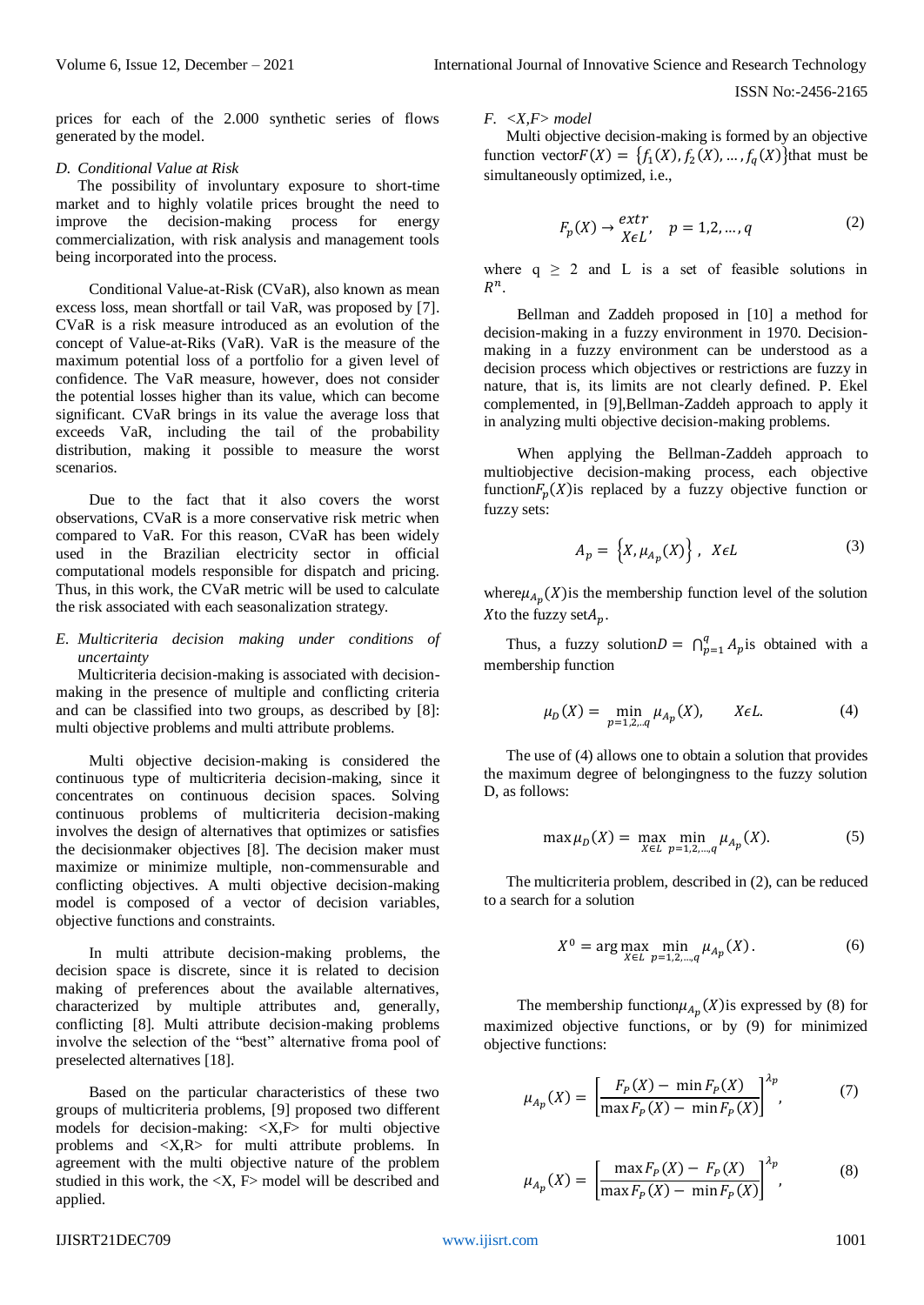prices for each of the 2.000 synthetic series of flows generated by the model.

## *D. Conditional Value at Risk*

The possibility of involuntary exposure to short-time market and to highly volatile prices brought the need to improve the decision-making process for energy commercialization, with risk analysis and management tools being incorporated into the process.

Conditional Value-at-Risk (CVaR), also known as mean excess loss, mean shortfall or tail VaR, was proposed by [7]. CVaR is a risk measure introduced as an evolution of the concept of Value-at-Riks (VaR). VaR is the measure of the maximum potential loss of a portfolio for a given level of confidence. The VaR measure, however, does not consider the potential losses higher than its value, which can become significant. CVaR brings in its value the average loss that exceeds VaR, including the tail of the probability distribution, making it possible to measure the worst scenarios.

Due to the fact that it also covers the worst observations, CVaR is a more conservative risk metric when compared to VaR. For this reason, CVaR has been widely used in the Brazilian electricity sector in official computational models responsible for dispatch and pricing. Thus, in this work, the CVaR metric will be used to calculate the risk associated with each seasonalization strategy.

## *E. Multicriteria decision making under conditions of uncertainty*

Multicriteria decision-making is associated with decisionmaking in the presence of multiple and conflicting criteria and can be classified into two groups, as described by [8]: multi objective problems and multi attribute problems.

Multi objective decision-making is considered the continuous type of multicriteria decision-making, since it concentrates on continuous decision spaces. Solving continuous problems of multicriteria decision-making involves the design of alternatives that optimizes or satisfies the decisionmaker objectives [8]. The decision maker must maximize or minimize multiple, non-commensurable and conflicting objectives. A multi objective decision-making model is composed of a vector of decision variables, objective functions and constraints.

In multi attribute decision-making problems, the decision space is discrete, since it is related to decision making of preferences about the available alternatives, characterized by multiple attributes and, generally, conflicting [8]. Multi attribute decision-making problems involve the selection of the "best" alternative froma pool of preselected alternatives [18].

Based on the particular characteristics of these two groups of multicriteria problems, [9] proposed two different models for decision-making: <X,F> for multi objective problems and <X,R> for multi attribute problems. In agreement with the multi objective nature of the problem studied in this work, the  $\langle X, F \rangle$  model will be described and applied.

# *F. <X,F> model*

Multi objective decision-making is formed by an objective function vector $F(X) = \{f_1(X), f_2(X), \dots, f_q(X)\}$ that must be simultaneously optimized, i.e.,

$$
F_p(X) \to \frac{extr}{X \in L'}, \quad p = 1, 2, \dots, q \tag{2}
$$

where  $q \ge 2$  and L is a set of feasible solutions in  $R^n$ .

Bellman and Zaddeh proposed in [10] a method for decision-making in a fuzzy environment in 1970. Decisionmaking in a fuzzy environment can be understood as a decision process which objectives or restrictions are fuzzy in nature, that is, its limits are not clearly defined. P. Ekel complemented, in [9],Bellman-Zaddeh approach to apply it in analyzing multi objective decision-making problems.

When applying the Bellman-Zaddeh approach to multiobjective decision-making process, each objective function  $F_p(X)$  is replaced by a fuzzy objective function or fuzzy sets:

$$
A_p = \left\{ X, \mu_{A_p}(X) \right\}, \quad X \in L \tag{3}
$$

where  $\mu_{A_p}(X)$  is the membership function level of the solution X to the fuzzy set  $A_p$ .

Thus, a fuzzy solution $D = \bigcap_{p=1}^{q} A_p$  $_{p=1}^{q} A_p$  is obtained with a membership function

$$
\mu_D(X) = \min_{p=1,2,..q} \mu_{A_p}(X), \qquad X \in L. \tag{4}
$$

The use of (4) allows one to obtain a solution that provides the maximum degree of belongingness to the fuzzy solution D, as follows:

$$
\max \mu_D(X) = \max_{X \in L} \min_{p=1,2,\dots,q} \mu_{A_p}(X). \tag{5}
$$

The multicriteria problem, described in (2), can be reduced to a search for a solution

$$
X^{0} = \arg \max_{X \in L} \min_{p=1,2,...,q} \mu_{A_{p}}(X).
$$
 (6)

The membership function  $\mu_{Ap}(X)$  is expressed by (8) for maximized objective functions, or by (9) for minimized objective functions:

$$
\mu_{A_p}(X) = \left[ \frac{F_P(X) - \min F_P(X)}{\max F_P(X) - \min F_P(X)} \right]^{A_p},\tag{7}
$$

$$
\mu_{A_p}(X) = \left[ \frac{\max F_p(X) - F_p(X)}{\max F_p(X) - \min F_p(X)} \right]^{A_p},
$$
\n(8)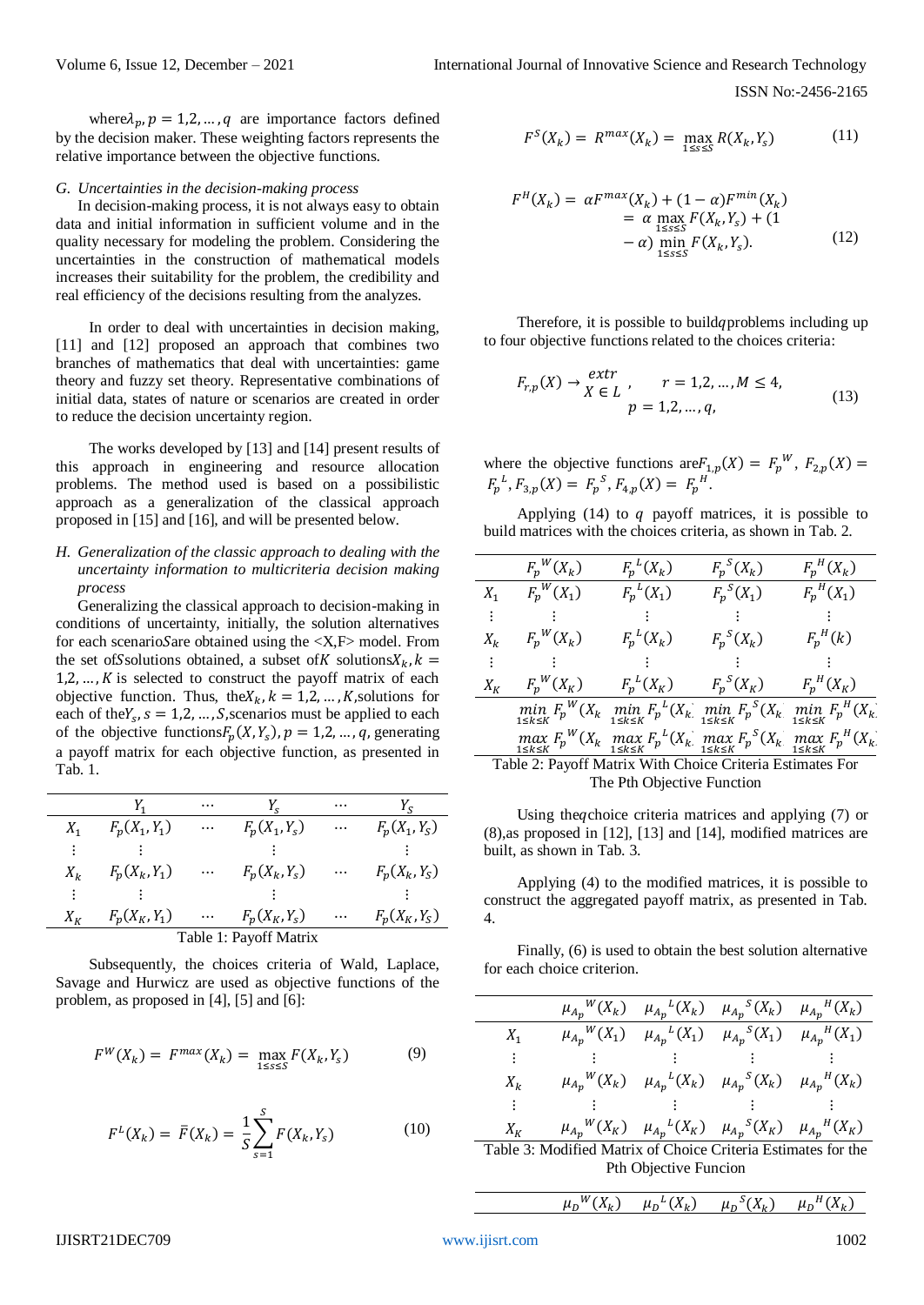where $\lambda_p$ ,  $p = 1, 2, ..., q$  are importance factors defined by the decision maker. These weighting factors represents the relative importance between the objective functions.

# *G. Uncertainties in the decision-making process*

In decision-making process, it is not always easy to obtain data and initial information in sufficient volume and in the quality necessary for modeling the problem. Considering the uncertainties in the construction of mathematical models increases their suitability for the problem, the credibility and real efficiency of the decisions resulting from the analyzes.

In order to deal with uncertainties in decision making, [11] and [12] proposed an approach that combines two branches of mathematics that deal with uncertainties: game theory and fuzzy set theory. Representative combinations of initial data, states of nature or scenarios are created in order to reduce the decision uncertainty region.

The works developed by [13] and [14] present results of this approach in engineering and resource allocation problems. The method used is based on a possibilistic approach as a generalization of the classical approach proposed in [15] and [16], and will be presented below.

## *H. Generalization of the classic approach to dealing with the uncertainty information to multicriteria decision making process*

Generalizing the classical approach to decision-making in conditions of uncertainty, initially, the solution alternatives for each scenario Sare obtained using the  $\langle X, F \rangle$  model. From the set of Ssolutions obtained, a subset of K solutions  $X_k$ ,  $k =$  $1, 2, \ldots, K$  is selected to construct the payoff matrix of each objective function. Thus, the  $X_k$ ,  $k = 1, 2, ..., K$ , solutions for each of the  $Y_s$ ,  $s = 1, 2, ..., S$ , scenarios must be applied to each of the objective functions  $F_p(X, Y_s)$ ,  $p = 1, 2, ..., q$ , generating a payoff matrix for each objective function, as presented in Tab. 1.

|                        |                 | $\cdots$ |                 | $\cdots$ | Y <sub>c</sub>  |  |
|------------------------|-----------------|----------|-----------------|----------|-----------------|--|
| $X_{1}$                | $F_p(X_1, Y_1)$ | $\cdots$ | $F_p(X_1, Y_s)$ | $\ldots$ | $F_p(X_1, Y_S)$ |  |
|                        |                 |          |                 |          |                 |  |
| $X_k$                  | $F_p(X_k, Y_1)$ | $\cdots$ | $F_p(X_k, Y_s)$ | $\ldots$ | $F_p(X_k, Y_S)$ |  |
|                        |                 |          |                 |          |                 |  |
| $X_{K}$                | $F_p(X_K, Y_1)$ | $\cdots$ | $F_p(X_K, Y_s)$ | $\ldots$ | $F_p(X_K, Y_S)$ |  |
| Table 1: Payoff Matrix |                 |          |                 |          |                 |  |

Subsequently, the choices criteria of Wald, Laplace, Savage and Hurwicz are used as objective functions of the problem, as proposed in [4], [5] and [6]:

$$
F^{W}(X_{k}) = F^{max}(X_{k}) = \max_{1 \leq s \leq S} F(X_{k}, Y_{s})
$$
 (9)

$$
F^{L}(X_{k}) = \bar{F}(X_{k}) = \frac{1}{S} \sum_{s=1}^{S} F(X_{k}, Y_{s})
$$
 (10)

$$
F^{S}(X_{k}) = R^{max}(X_{k}) = \max_{1 \leq s \leq S} R(X_{k}, Y_{s})
$$
\n(11)

$$
F^{H}(X_{k}) = \alpha F^{max}(X_{k}) + (1 - \alpha)F^{min}(X_{k})
$$
  
=  $\alpha \max_{1 \leq s \leq S} F(X_{k}, Y_{s}) + (1 - \alpha) \min_{1 \leq s \leq S} F(X_{k}, Y_{s}).$  (12)

Therefore, it is possible to build *a* problems including up to four objective functions related to the choices criteria:

$$
F_{r,p}(X) \to \begin{cases} extr \\ X \in L \end{cases}, \quad r = 1, 2, ..., M \le 4, \\ p = 1, 2, ..., q,
$$
 (13)

where the objective functions are  $F_{1,p}(X) = F_p^W$ ,  $F_{2,p}(X) =$  $F_p^L$ ,  $F_{3,p}(X) = F_p^S$ ,  $F_{4,p}(X) = F_p^H$ .

Applying (14) to  $q$  payoff matrices, it is possible to build matrices with the choices criteria, as shown in Tab. 2.

|                                                           | $F_p^W(X_k)$ | $F_p^L(X_k)$                                                                                                                      | $F_p^S(X_k)$ | $F_p^H(X_k)$ |  |
|-----------------------------------------------------------|--------------|-----------------------------------------------------------------------------------------------------------------------------------|--------------|--------------|--|
| $X_1$                                                     | $F_p^W(X_1)$ | $F_p^L(X_1)$                                                                                                                      | $F_p^S(X_1)$ | $F_p^H(X_1)$ |  |
| ÷                                                         |              |                                                                                                                                   |              |              |  |
| $X_k$                                                     | $F_p^W(X_k)$ | $F_p^L(X_k)$                                                                                                                      | $F_n^S(X_k)$ | $F_p^H(k)$   |  |
|                                                           |              |                                                                                                                                   |              |              |  |
| $X_K$                                                     | $F_p^W(X_K)$ | $F_p^L(X_K)$                                                                                                                      | $F_p^S(X_K)$ | $F_p^H(X_K)$ |  |
|                                                           |              | $\min_{1 \le k \le K} F_p^W(X_k) \min_{1 \le k \le K} F_p^L(X_k) \min_{1 \le k \le K} F_p^S(X_k) \min_{1 \le k \le K} F_p^H(X_k)$ |              |              |  |
|                                                           |              | $\max_{1 \le k \le K} F_p^W(X_k) \max_{1 \le k \le K} F_p^L(X_k) \max_{1 \le k \le K} F_p^S(X_k) \max_{1 \le k \le K} F_p^H(X_k)$ |              |              |  |
| Table 2: Payoff Matrix With Choice Criteria Estimates For |              |                                                                                                                                   |              |              |  |
|                                                           |              | The Pth Objective Function                                                                                                        |              |              |  |

Using the *q*choice criteria matrices and applying (7) or (8),as proposed in [12], [13] and [14], modified matrices are built, as shown in Tab. 3.

Applying (4) to the modified matrices, it is possible to construct the aggregated payoff matrix, as presented in Tab. 4.

Finally, (6) is used to obtain the best solution alternative for each choice criterion.

|                                                               |  |                       | $\mu_{A_p}{}^W(X_k)$ $\mu_{A_p}{}^L(X_k)$ $\mu_{A_p}{}^S(X_k)$ $\mu_{A_p}{}^H(X_k)$                           |  |  |  |
|---------------------------------------------------------------|--|-----------------------|---------------------------------------------------------------------------------------------------------------|--|--|--|
| $X_1$                                                         |  |                       | $\mu_{A_n}^{\ W}(X_1)$ $\mu_{A_n}^{\ L}(X_1)$ $\mu_{A_n}^{\ S}(X_1)$ $\mu_{A_n}^{\ H}(X_1)$                   |  |  |  |
| ÷                                                             |  |                       | 2008년 - 대한민국의 대한민국의 대한민국의 대한민국의 대한민국의 대한민국의 대한민국의 대한민국의 대한민국의 대한민국의 대한민국의 대한민국의 대한민국의 대한민국의 대한민국의 대한민국의 대한민국의 |  |  |  |
| $X_k$                                                         |  |                       | $\mu_{A_n}^{\ W}(X_k)$ $\mu_{A_n}^{\ L}(X_k)$ $\mu_{A_n}^{\ S}(X_k)$ $\mu_{A_n}^{\ H}(X_k)$                   |  |  |  |
| ÷                                                             |  |                       |                                                                                                               |  |  |  |
| $X_K$                                                         |  |                       | $\mu_{A_p}{}^W(X_K)$ $\mu_{A_p}{}^L(X_K)$ $\mu_{A_p}{}^S(X_K)$ $\mu_{A_p}{}^H(X_K)$                           |  |  |  |
| Table 3: Modified Matrix of Choice Criteria Estimates for the |  |                       |                                                                                                               |  |  |  |
|                                                               |  | Pth Objective Funcion |                                                                                                               |  |  |  |

$$
\mu_D{}^W(X_k) \quad \mu_D{}^L(X_k) \quad \mu_D{}^S(X_k) \quad \mu_D{}^H(X_k)
$$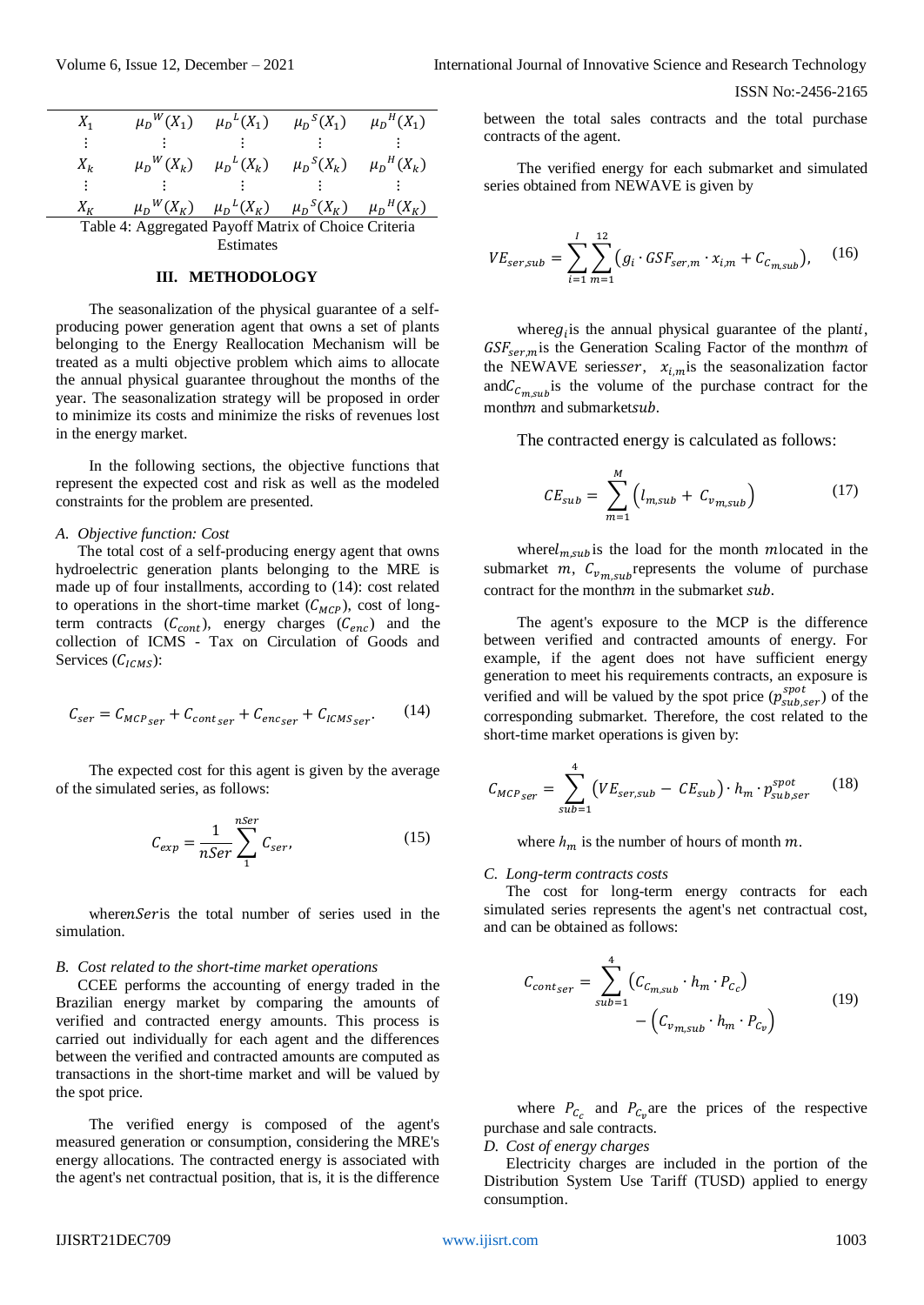| $X_1$                                                |  |  | $\mu_D{}^W(X_1)$ $\mu_D{}^L(X_1)$ $\mu_D{}^S(X_1)$ $\mu_D{}^H(X_1)$ |  |  |  |
|------------------------------------------------------|--|--|---------------------------------------------------------------------|--|--|--|
| ÷                                                    |  |  |                                                                     |  |  |  |
| $X_k$                                                |  |  | $\mu_D{}^W(X_k)$ $\mu_D{}^L(X_k)$ $\mu_D{}^S(X_k)$ $\mu_D{}^H(X_k)$ |  |  |  |
| $\ddot{\cdot}$                                       |  |  |                                                                     |  |  |  |
| $X_{\nu}$                                            |  |  | $\mu_D{}^W(X_K)$ $\mu_D{}^L(X_K)$ $\mu_D{}^S(X_K)$ $\mu_D{}^H(X_K)$ |  |  |  |
| Table 4: Aggregated Payoff Matrix of Choice Criteria |  |  |                                                                     |  |  |  |
| Estimates                                            |  |  |                                                                     |  |  |  |

#### **III. METHODOLOGY**

The seasonalization of the physical guarantee of a selfproducing power generation agent that owns a set of plants belonging to the Energy Reallocation Mechanism will be treated as a multi objective problem which aims to allocate the annual physical guarantee throughout the months of the year. The seasonalization strategy will be proposed in order to minimize its costs and minimize the risks of revenues lost in the energy market.

In the following sections, the objective functions that represent the expected cost and risk as well as the modeled constraints for the problem are presented.

#### *A. Objective function: Cost*

The total cost of a self-producing energy agent that owns hydroelectric generation plants belonging to the MRE is made up of four installments, according to (14): cost related to operations in the short-time market  $(C_{MCP})$ , cost of longterm contracts  $(C_{cont})$ , energy charges  $(C_{enc})$  and the collection of ICMS - Tax on Circulation of Goods and Services  $(\mathcal{C}_{ICMS})$ :

$$
C_{ser} = C_{MCP_{ser}} + C_{cont_{ser}} + C_{enc_{ser}} + C_{ICMS_{ser}}.
$$
 (14)

The expected cost for this agent is given by the average of the simulated series, as follows:

$$
C_{exp} = \frac{1}{nSer} \sum_{1}^{nSer} C_{ser},
$$
\n(15)

wheren Series the total number of series used in the simulation.

#### *B. Cost related to the short-time market operations*

CCEE performs the accounting of energy traded in the Brazilian energy market by comparing the amounts of verified and contracted energy amounts. This process is carried out individually for each agent and the differences between the verified and contracted amounts are computed as transactions in the short-time market and will be valued by the spot price.

The verified energy is composed of the agent's measured generation or consumption, considering the MRE's energy allocations. The contracted energy is associated with the agent's net contractual position, that is, it is the difference

between the total sales contracts and the total purchase contracts of the agent.

The verified energy for each submarket and simulated series obtained from NEWAVE is given by

$$
VE_{ser,sub} = \sum_{i=1}^{I} \sum_{m=1}^{12} (g_i \cdot GSF_{ser,m} \cdot x_{i,m} + C_{c_{m,sub}}),
$$
 (16)

where  $g_i$  is the annual physical guarantee of the planti,  $GSF_{ser,m}$  is the Generation Scaling Factor of the month *m* of the NEWAVE seriesser,  $x_{i,m}$  is the seasonalization factor and  $C_{c_{m} \text{sub}}$  is the volume of the purchase contract for the monthm and submarketsub.

The contracted energy is calculated as follows:

$$
CE_{sub} = \sum_{m=1}^{M} \left( l_{m,sub} + C_{v_{m,sub}} \right)
$$
 (17)

where $l_{m,sub}$  is the load for the month *m*located in the submarket  $m$ ,  $C_{v_{m.sub}}$  represents the volume of purchase contract for the month  $m$  in the submarket  $sub$ .

The agent's exposure to the MCP is the difference between verified and contracted amounts of energy. For example, if the agent does not have sufficient energy generation to meet his requirements contracts, an exposure is verified and will be valued by the spot price  $(p_{sub, ser}^{spot})$  of the corresponding submarket. Therefore, the cost related to the short-time market operations is given by:

$$
C_{MCP,ser} = \sum_{sub=1}^{4} \left( VE_{ser,sub} - CE_{sub} \right) \cdot h_m \cdot p_{sub,ser}^{spot} \qquad (18)
$$

where  $h_m$  is the number of hours of month  $m$ .

## *C. Long-term contracts costs*

The cost for long-term energy contracts for each simulated series represents the agent's net contractual cost, and can be obtained as follows:

$$
C_{cont_{ser}} = \sum_{sub=1}^{4} \left( C_{c_{m,sub}} \cdot h_m \cdot P_{c_c} \right)
$$

$$
- \left( C_{v_{m,sub}} \cdot h_m \cdot P_{c_v} \right)
$$
(19)

where  $P_{C_c}$  and  $P_{C_v}$  are the prices of the respective purchase and sale contracts.

## *D. Cost of energy charges*

Electricity charges are included in the portion of the Distribution System Use Tariff (TUSD) applied to energy consumption.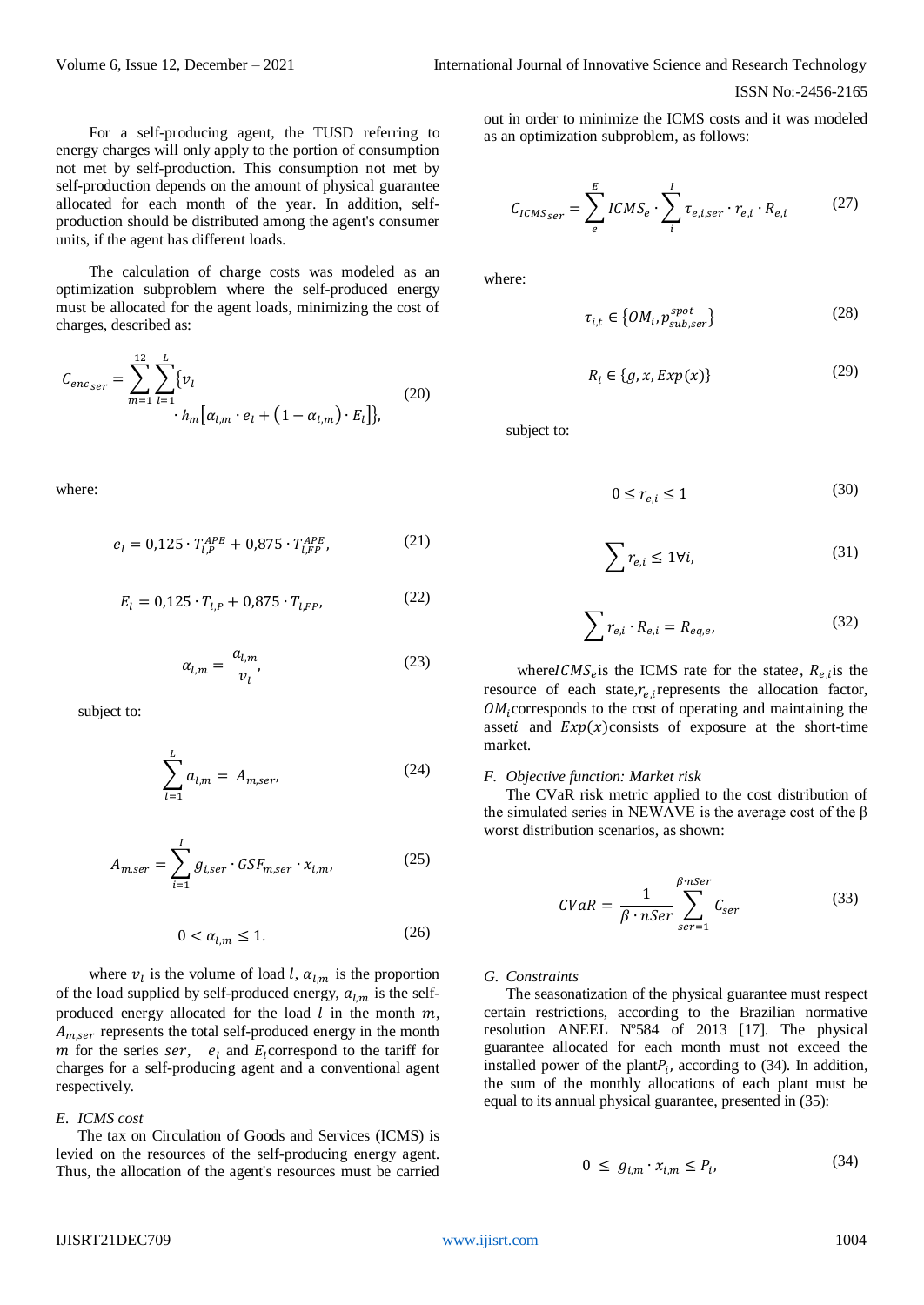For a self-producing agent, the TUSD referring to energy charges will only apply to the portion of consumption not met by self-production. This consumption not met by self-production depends on the amount of physical guarantee allocated for each month of the year. In addition, selfproduction should be distributed among the agent's consumer units, if the agent has different loads.

The calculation of charge costs was modeled as an optimization subproblem where the self-produced energy must be allocated for the agent loads, minimizing the cost of charges, described as:

$$
C_{enc_{ser}} = \sum_{m=1}^{12} \sum_{l=1}^{L} \{v_l
$$
  
•  $h_m [\alpha_{l,m} \cdot e_l + (1 - \alpha_{l,m}) \cdot E_l] \},$  (20)

where:

$$
e_l = 0.125 \cdot T_{l,P}^{APE} + 0.875 \cdot T_{l,FP}^{APE}, \tag{21}
$$

$$
E_l = 0.125 \cdot T_{l,P} + 0.875 \cdot T_{l,FP}, \tag{22}
$$

$$
\alpha_{l,m} = \frac{a_{l,m}}{v_l},\tag{23}
$$

subject to:

$$
\sum_{l=1}^{L} a_{l,m} = A_{m,ser},
$$
\n(24)

$$
A_{m,ser} = \sum_{i=1}^{I} g_{i,ser} \cdot GSF_{m,ser} \cdot x_{i,m}, \qquad (25)
$$

$$
0 < \alpha_{l,m} \le 1. \tag{26}
$$

where  $v_l$  is the volume of load l,  $\alpha_{l,m}$  is the proportion of the load supplied by self-produced energy,  $a_{lm}$  is the selfproduced energy allocated for the load  $l$  in the month  $m$ ,  $A_{m,ser}$  represents the total self-produced energy in the month m for the series ser,  $e_l$  and  $E_l$  correspond to the tariff for charges for a self-producing agent and a conventional agent respectively.

### *E. ICMS cost*

The tax on Circulation of Goods and Services (ICMS) is levied on the resources of the self-producing energy agent. Thus, the allocation of the agent's resources must be carried out in order to minimize the ICMS costs and it was modeled as an optimization subproblem, as follows:

$$
C_{ICMS_{ser}} = \sum_{e}^{E} ICMS_e \cdot \sum_{i}^{I} \tau_{e,i,ser} \cdot r_{e,i} \cdot R_{e,i}
$$
 (27)

where:

$$
\tau_{i,t} \in \left\{ OM_i, p_{sub,ser}^{spot} \right\} \tag{28}
$$

$$
R_i \in \{g, x, Exp(x)\}\tag{29}
$$

subject to:

$$
0 \le r_{e,i} \le 1 \tag{30}
$$

$$
\sum r_{e,i} \le 1 \forall i,
$$
\n(31)

$$
\sum r_{e,i} \cdot R_{e,i} = R_{eq,e}, \tag{32}
$$

where  $ICMS_e$  is the ICMS rate for the statee,  $R_{e,i}$  is the resource of each state, $r_{e,i}$ represents the allocation factor,  $OM_i$ ; corresponds to the cost of operating and maintaining the asseti and  $Exp(x)$ consists of exposure at the short-time market.

#### *F. Objective function: Market risk*

The CVaR risk metric applied to the cost distribution of the simulated series in NEWAVE is the average cost of the β worst distribution scenarios, as shown:

$$
CVaR = \frac{1}{\beta \cdot nSer} \sum_{ser=1}^{\beta \cdot nSer} C_{ser}
$$
 (33)

#### *G. Constraints*

The seasonatization of the physical guarantee must respect certain restrictions, according to the Brazilian normative resolution ANEEL Nº584 of 2013 [17]. The physical guarantee allocated for each month must not exceed the installed power of the plant $P_i$ , according to (34). In addition, the sum of the monthly allocations of each plant must be equal to its annual physical guarantee, presented in (35):

$$
0 \le g_{i,m} \cdot x_{i,m} \le P_i,\tag{34}
$$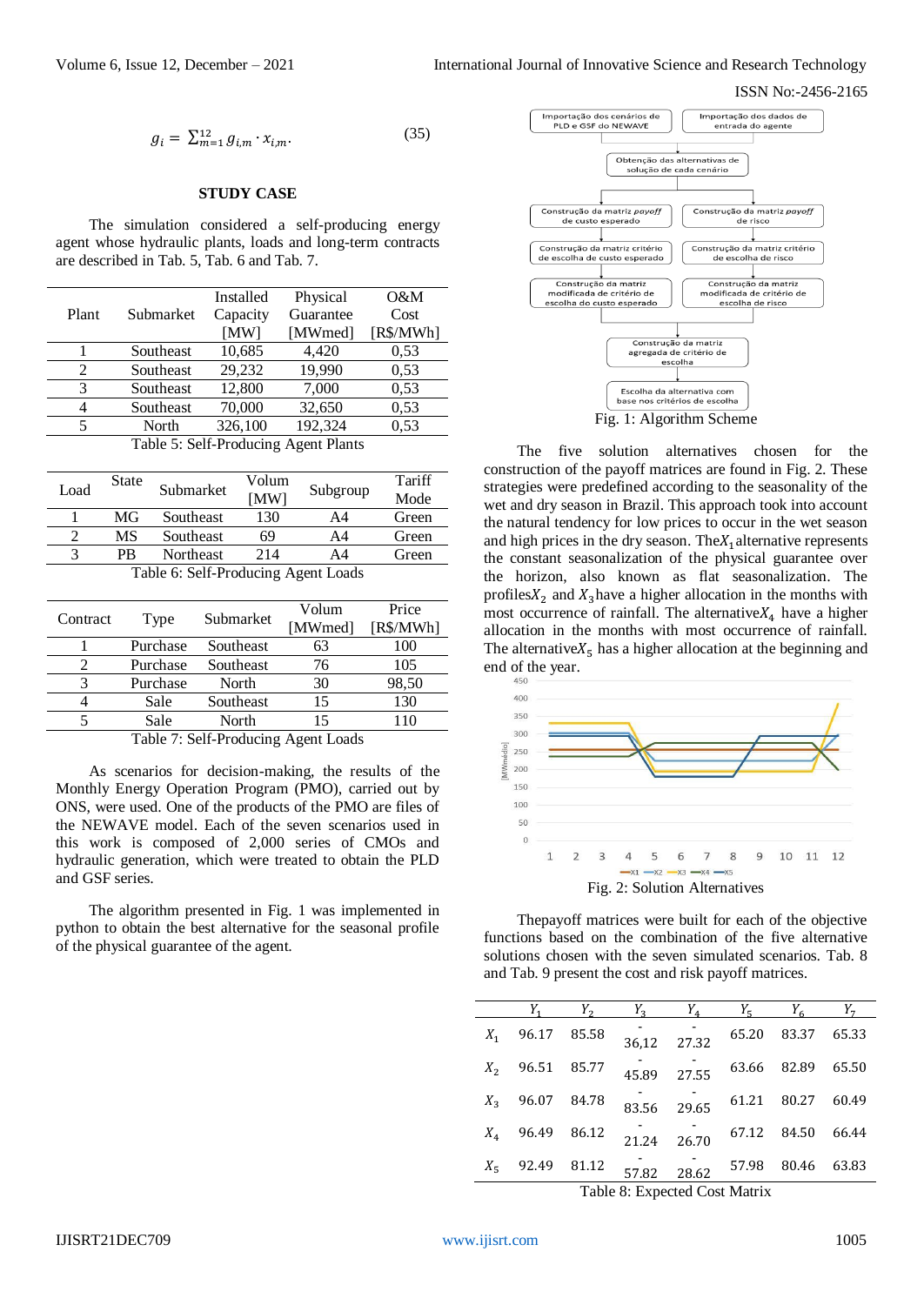$$
g_i = \sum_{m=1}^{12} g_{i,m} \cdot x_{i,m}.
$$
 (35)

 $(25)$ 

## **STUDY CASE**

The simulation considered a self-producing energy agent whose hydraulic plants, loads and long-term contracts are described in Tab. 5, Tab. 6 and Tab. 7.

|                                      |           | Installed | Physical  | $O\&M$    |  |
|--------------------------------------|-----------|-----------|-----------|-----------|--|
| Plant                                | Submarket | Capacity  | Guarantee | Cost      |  |
|                                      |           | [MW]      | [MWmed]   | [R\$/MWh] |  |
|                                      | Southeast | 10,685    | 4,420     | 0,53      |  |
| 2                                    | Southeast | 29,232    | 19,990    | 0,53      |  |
| 3                                    | Southeast | 12,800    | 7,000     | 0,53      |  |
| 4                                    | Southeast | 70,000    | 32,650    | 0,53      |  |
| 5                                    | North     | 326,100   | 192,324   | 0,53      |  |
| Table 5: Self-Producing Agent Plants |           |           |           |           |  |

| Load                                | <b>State</b> | Submarket | Volum<br>[MW] | Subgroup | Tariff<br>Mode |
|-------------------------------------|--------------|-----------|---------------|----------|----------------|
|                                     | MG           | Southeast | 130           | A4       | Green          |
|                                     | MS           | Southeast | 69            | A4       | Green          |
| 3                                   | PR           | Northeast | 214           | A4       | Green          |
| Table 6: Self-Producing Agent Loads |              |           |               |          |                |

| Contract |          | Submarket                                                         | Volum   | Price     |
|----------|----------|-------------------------------------------------------------------|---------|-----------|
|          | Type     |                                                                   | [MWmed] | [R\$/MWh] |
|          | Purchase | Southeast                                                         | 63      | 100       |
|          | Purchase | Southeast                                                         | 76      | 105       |
|          | Purchase | North                                                             | 30      | 98,50     |
|          | Sale     | Southeast                                                         | 15      | 130       |
|          | Sale     | North                                                             | 15      | 110       |
|          |          | $\pi$ 11 $\pi$ $\alpha$ 10 $\pi$ 1 $\cdots$ $\cdots$ 1 $\cdots$ 1 |         |           |

Table 7: Self-Producing Agent Loads

As scenarios for decision-making, the results of the Monthly Energy Operation Program (PMO), carried out by ONS, were used. One of the products of the PMO are files of the NEWAVE model. Each of the seven scenarios used in this work is composed of 2,000 series of CMOs and hydraulic generation, which were treated to obtain the PLD and GSF series.

The algorithm presented in Fig. 1 was implemented in python to obtain the best alternative for the seasonal profile of the physical guarantee of the agent.



The five solution alternatives chosen for the construction of the payoff matrices are found in Fig. 2. These strategies were predefined according to the seasonality of the wet and dry season in Brazil. This approach took into account the natural tendency for low prices to occur in the wet season and high prices in the dry season. The  $X_1$  alternative represents the constant seasonalization of the physical guarantee over the horizon, also known as flat seasonalization. The profiles  $X_2$  and  $X_3$  have a higher allocation in the months with most occurrence of rainfall. The alternative  $X_4$  have a higher allocation in the months with most occurrence of rainfall. The alternative $X_5$  has a higher allocation at the beginning and end of the year.



Thepayoff matrices were built for each of the objective functions based on the combination of the five alternative solutions chosen with the seven simulated scenarios. Tab. 8 and Tab. 9 present the cost and risk payoff matrices.

| $Y_3 \t Y_4 \t Y_5 \t Y_6$<br>$Y_2$                     | $Y_{\tau}$ |
|---------------------------------------------------------|------------|
| $36,12$ 27.32<br>65.20 83.37 65.33<br>$X_1$ 96.17 85.58 |            |
| 63.66 82.89 65.50<br>$45.89$ 27.55<br>$X_2$ 96.51 85.77 |            |
| 83.56 29.65 61.21 80.27 60.49<br>$X_3$ 96.07 84.78      |            |
| 21.24 26.70 67.12 84.50 66.44<br>$X_4$ 96.49 86.12      |            |
| 57.82 28.62 57.98 80.46 63.83<br>$X_5$ 92.49 81.12      |            |

Table 8: Expected Cost Matrix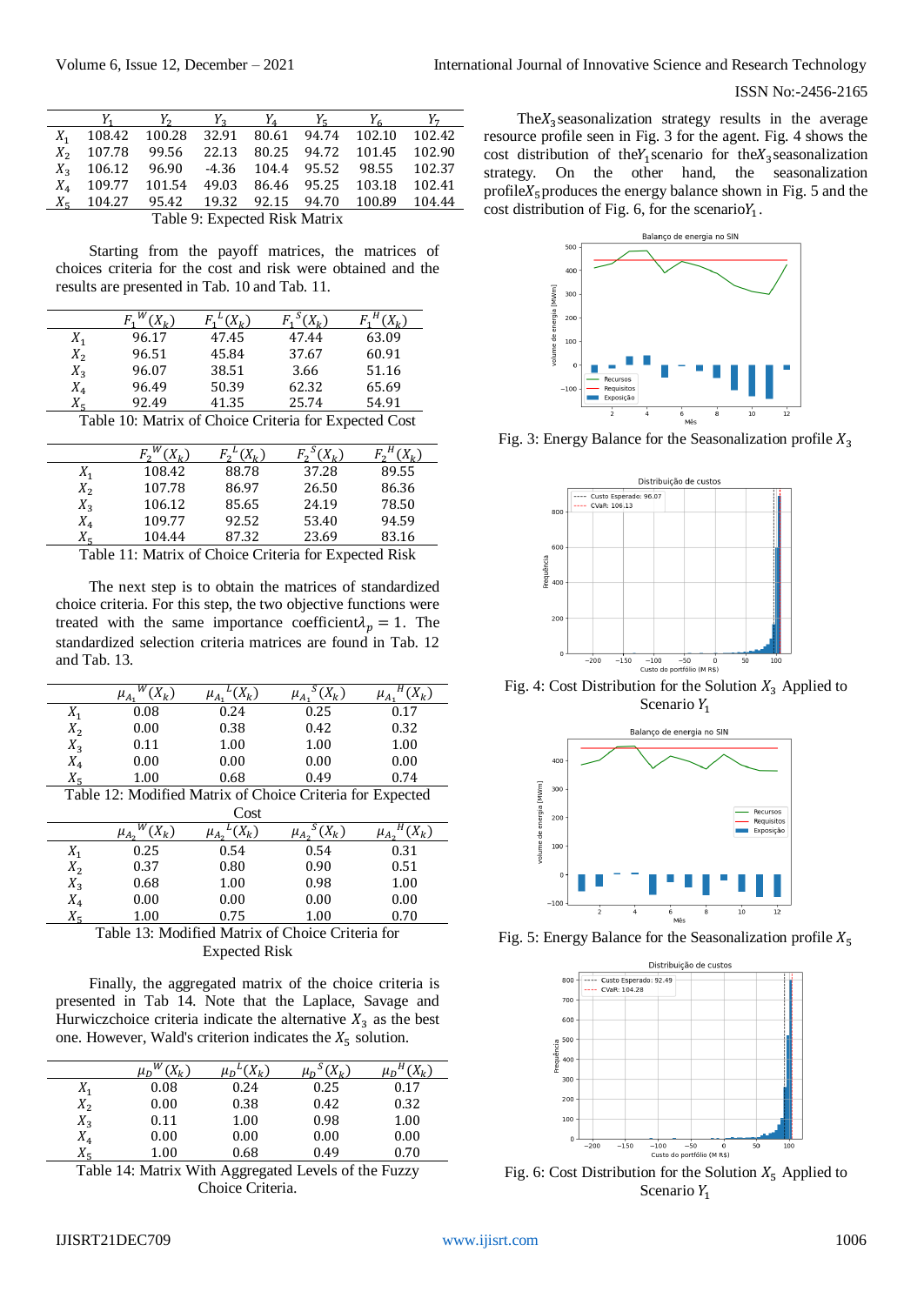|                   |                               | $Y_2$                                         |  | $Y_2$ $Y_4$ | $Y_{\rm g}$ | $Y_{\epsilon}$ | $Y_{\tau}$ |
|-------------------|-------------------------------|-----------------------------------------------|--|-------------|-------------|----------------|------------|
| $X_{1}$           |                               | 108.42 100.28 32.91 80.61 94.74 102.10 102.42 |  |             |             |                |            |
| $X_{2}$           |                               | 107.78 99.56 22.13 80.25 94.72 101.45 102.90  |  |             |             |                |            |
| $X_{2}$           |                               | 106.12 96.90 -4.36 104.4 95.52 98.55          |  |             |             |                | 102.37     |
| $X_{\mathcal{A}}$ |                               | 109.77 101.54 49.03 86.46 95.25 103.18        |  |             |             |                | 102.41     |
| $X_{\pi}$         |                               | 104.27 95.42 19.32 92.15 94.70 100.89         |  |             |             |                | 104.44     |
|                   | Table 9: Expected Risk Matrix |                                               |  |             |             |                |            |

Starting from the payoff matrices, the matrices of choices criteria for the cost and risk were obtained and the results are presented in Tab. 10 and Tab. 11.

| $X_1$             | 96.17                                                                           | 47.45 | 47.44 | 63.09 |  |  |  |
|-------------------|---------------------------------------------------------------------------------|-------|-------|-------|--|--|--|
| $X_2$             | 96.51                                                                           | 45.84 | 37.67 | 60.91 |  |  |  |
| $X_{2}$           | 96.07                                                                           | 38.51 | 3.66  | 51.16 |  |  |  |
| $X_{\mathcal{A}}$ | 96.49                                                                           | 50.39 | 62.32 | 65.69 |  |  |  |
| $X_{\pi}$         | 92.49                                                                           | 41.35 | 25.74 | 54.91 |  |  |  |
|                   | $T$ , 1, 1, 1, $M$ , $\cdots$ $C1$ , $\cdots$ $C$ , $\cdots$ $C$ , $\cdots$ $C$ |       |       |       |  |  |  |

Table 10: Matrix of Choice Criteria for Expected Cost

|                   |        | $\chi_{\nu}$ |       |       |
|-------------------|--------|--------------|-------|-------|
| $X_{1}$           | 108.42 | 88.78        | 37.28 | 89.55 |
| $X_2$             | 107.78 | 86.97        | 26.50 | 86.36 |
| $X_{3}$           | 106.12 | 85.65        | 24.19 | 78.50 |
| $X_{\mathcal{A}}$ | 109.77 | 92.52        | 53.40 | 94.59 |
|                   | 104.44 | 87.32        | 23.69 | 83.16 |

Table 11: Matrix of Choice Criteria for Expected Risk

The next step is to obtain the matrices of standardized choice criteria. For this step, the two objective functions were treated with the same importance coefficient  $\lambda_n = 1$ . The standardized selection criteria matrices are found in Tab. 12 and Tab. 13.

|                                                           | $\mu_A$ | $(X_k)$ | $(X_k)$ |      |  |
|-----------------------------------------------------------|---------|---------|---------|------|--|
| $X_1$                                                     | 0.08    | 0.24    | 0.25    | 0.17 |  |
| $X_2$                                                     | 0.00    | 0.38    | 0.42    | 0.32 |  |
| $X_{3}$                                                   | 0.11    | 1.00    | 1.00    | 1.00 |  |
| $X_4$                                                     | 0.00    | 0.00    | 0.00    | 0.00 |  |
|                                                           | 1.00    | 0.68    | 0.49    | 0.74 |  |
| Table 12: Modified Matrix of Choice Criteria for Expected |         |         |         |      |  |

|       |                           | Cost                   |                        |                        |
|-------|---------------------------|------------------------|------------------------|------------------------|
|       | w<br>$X_k$<br>$\mu_{A_2}$ | $(X_k)$<br>$\mu_{A_2}$ | $(X_k)$<br>$\mu_{A_2}$ | $(X_k)$<br>$\mu_{A_2}$ |
| $X_1$ | 0.25                      | 0.54                   | 0.54                   | 0.31                   |
| $X_2$ | 0.37                      | 0.80                   | 0.90                   | 0.51                   |
| $X_3$ | 0.68                      | 1.00                   | 0.98                   | 1.00                   |
| $X_4$ | 0.00                      | 0.00                   | 0.00                   | 0.00                   |
|       | 1.00                      | 0.75                   | 1.00                   | 0.70                   |



Finally, the aggregated matrix of the choice criteria is presented in Tab 14. Note that the Laplace, Savage and Hurwiczchoice criteria indicate the alternative  $X_3$  as the best one. However, Wald's criterion indicates the  $X_5$  solution.

|                | w<br>$\mu_{D}$ | $\mu_{D}$ | $X_{\nu}$<br>$\mu_{D}$ | $\mu_D$ |
|----------------|----------------|-----------|------------------------|---------|
| $X_1$          | 0.08           | 0.24      | 0.25                   | 0.17    |
| $X_2$          | 0.00           | 0.38      | 0.42                   | 0.32    |
| $X_3$          | 0.11           | 1.00      | 0.98                   | 1.00    |
| $X_4$          | 0.00           | 0.00      | 0.00                   | 0.00    |
| v<br>$\Lambda$ | 1.00           | 0.68      | 0.49                   | 0.70    |

Table 14: Matrix With Aggregated Levels of the Fuzzy Choice Criteria.

The $X_3$  seasonalization strategy results in the average resource profile seen in Fig. 3 for the agent. Fig. 4 shows the cost distribution of the $Y_1$  scenario for the  $X_3$  seasonalization strategy. On the other hand, the seasonalization profile $X_5$  produces the energy balance shown in Fig. 5 and the cost distribution of Fig. 6, for the scenario $Y_1$ .



Fig. 3: Energy Balance for the Seasonalization profile  $X_3$ 



Fig. 4: Cost Distribution for the Solution  $X_3$  Applied to Scenario  $Y_1$ 



Fig. 5: Energy Balance for the Seasonalization profile  $X_5$ 



Fig. 6: Cost Distribution for the Solution  $X_5$  Applied to Scenario  $Y_1$